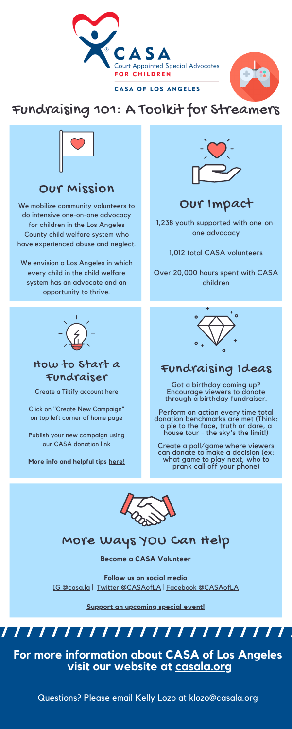



#### CASA OF LOS ANGELES

## Our Mission

We mobilize community volunteers to do intensive one-on-one advocacy for children in the Los Angeles County child welfare system who have experienced abuse and neglect.

We envision a Los Angeles in which every child in the child welfare system has an advocate and an opportunity to thrive.



### How to Start a Fundraiser

Create a Tiltify account [here](https://tiltify.com/users/sign_up)

Click on "Create New Campaign" on top left corner of home page

Publish your new campaign using



our CASA [donation](https://interland3.donorperfect.net/weblink/weblink.aspx?name=E330805&id=6) link

**More info and helpful tips [here!](https://blog.twitch.tv/Tiltify%20Creator%20One-Sheet.pdf)**

## More Ways YOU Can Help

**Become a CASA [Volunteer](https://casala.org/volunteer/)**

**Follow us on social media** IG [@casa.la](https://www.instagram.com/casa.la/) | Twitter [@CASAofLA](https://twitter.com/CASAofLA) | Facebook [@CASAofLA](https://www.facebook.com/CASAofLA)

**Support an [upcoming](https://casala.org/category/events/) special event!**

### Fundraising Ideas

Got a birthday coming up? Encourage viewers to donate through a birthday fundraiser.

Perform an action every time total donation benchmarks are met (Think: a pie to the face, truth or dare, a house tour - the sky's the limit!)

Create a poll/game where viewers can donate to make a decision (ex: what game to play next, who to prank call off your phone)



# Our Impact

1,238 youth supported with one-onone advocacy

1,012 total CASA volunteers

Over 20,000 hours spent with CASA children



**For more information about CASA of Los Angeles visit our website at [casala.org](https://casala.org/)**

Questions? Please email Kelly Lozo at klozo@casala.org

# Fundraising 101: A Toolkit for Streamers